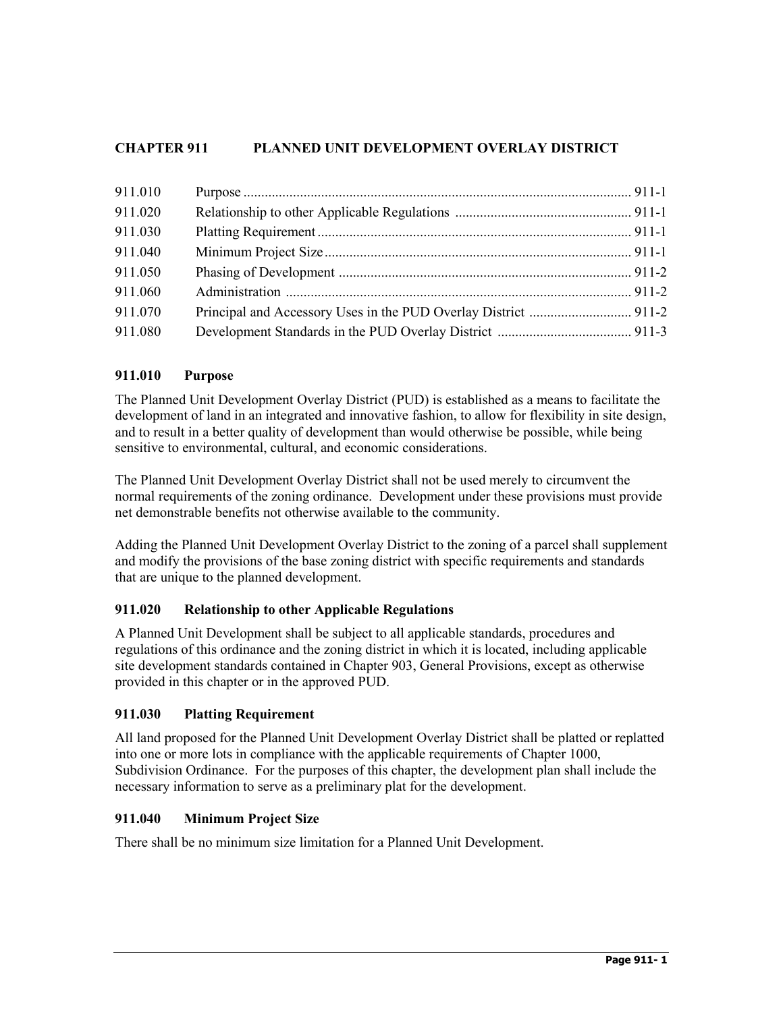# **CHAPTER 911 PLANNED UNIT DEVELOPMENT OVERLAY DISTRICT**

| 911.010 |  |
|---------|--|
| 911.020 |  |
| 911.030 |  |
| 911.040 |  |
| 911.050 |  |
| 911.060 |  |
| 911.070 |  |
| 911.080 |  |

## **911.010 Purpose**

The Planned Unit Development Overlay District (PUD) is established as a means to facilitate the development of land in an integrated and innovative fashion, to allow for flexibility in site design, and to result in a better quality of development than would otherwise be possible, while being sensitive to environmental, cultural, and economic considerations.

The Planned Unit Development Overlay District shall not be used merely to circumvent the normal requirements of the zoning ordinance. Development under these provisions must provide net demonstrable benefits not otherwise available to the community.

Adding the Planned Unit Development Overlay District to the zoning of a parcel shall supplement and modify the provisions of the base zoning district with specific requirements and standards that are unique to the planned development.

## **911.020 Relationship to other Applicable Regulations**

A Planned Unit Development shall be subject to all applicable standards, procedures and regulations of this ordinance and the zoning district in which it is located, including applicable site development standards contained in Chapter 903, General Provisions, except as otherwise provided in this chapter or in the approved PUD.

## **911.030 Platting Requirement**

All land proposed for the Planned Unit Development Overlay District shall be platted or replatted into one or more lots in compliance with the applicable requirements of Chapter 1000, Subdivision Ordinance. For the purposes of this chapter, the development plan shall include the necessary information to serve as a preliminary plat for the development.

## **911.040 Minimum Project Size**

There shall be no minimum size limitation for a Planned Unit Development.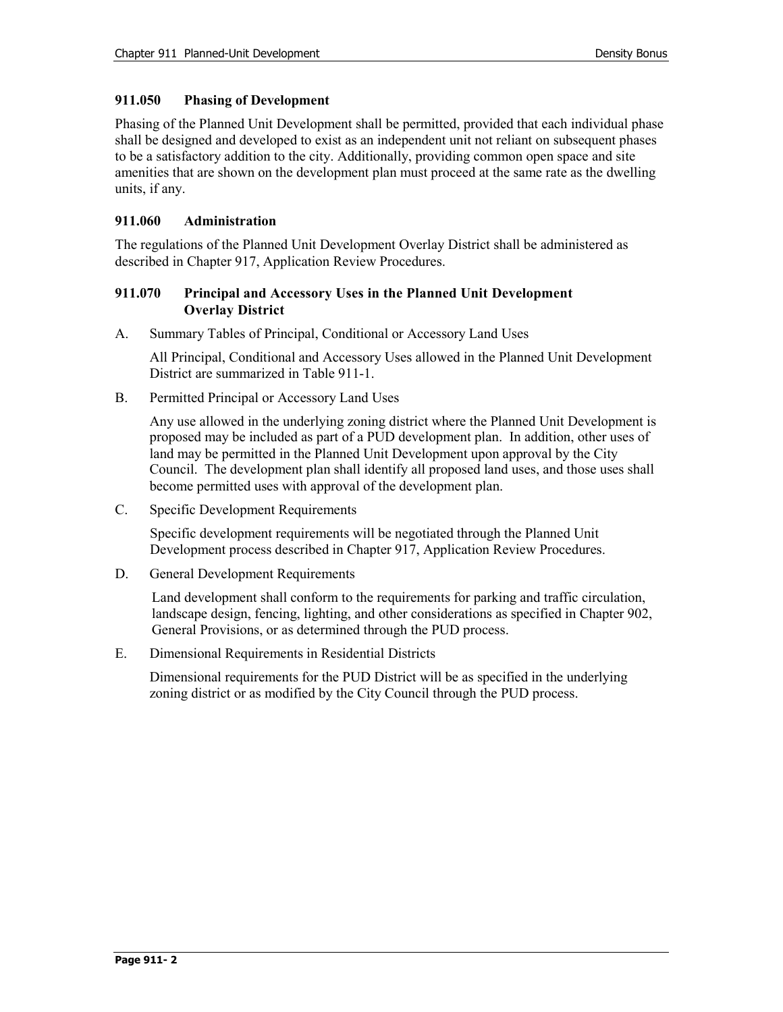## **911.050 Phasing of Development**

Phasing of the Planned Unit Development shall be permitted, provided that each individual phase shall be designed and developed to exist as an independent unit not reliant on subsequent phases to be a satisfactory addition to the city. Additionally, providing common open space and site amenities that are shown on the development plan must proceed at the same rate as the dwelling units, if any.

## **911.060 Administration**

The regulations of the Planned Unit Development Overlay District shall be administered as described in Chapter 917, Application Review Procedures.

## **911.070 Principal and Accessory Uses in the Planned Unit Development Overlay District**

A. Summary Tables of Principal, Conditional or Accessory Land Uses

All Principal, Conditional and Accessory Uses allowed in the Planned Unit Development District are summarized in Table 911-1.

B. Permitted Principal or Accessory Land Uses

Any use allowed in the underlying zoning district where the Planned Unit Development is proposed may be included as part of a PUD development plan. In addition, other uses of land may be permitted in the Planned Unit Development upon approval by the City Council. The development plan shall identify all proposed land uses, and those uses shall become permitted uses with approval of the development plan.

C. Specific Development Requirements

Specific development requirements will be negotiated through the Planned Unit Development process described in Chapter 917, Application Review Procedures.

D. General Development Requirements

Land development shall conform to the requirements for parking and traffic circulation, landscape design, fencing, lighting, and other considerations as specified in Chapter 902, General Provisions, or as determined through the PUD process.

E. Dimensional Requirements in Residential Districts

Dimensional requirements for the PUD District will be as specified in the underlying zoning district or as modified by the City Council through the PUD process.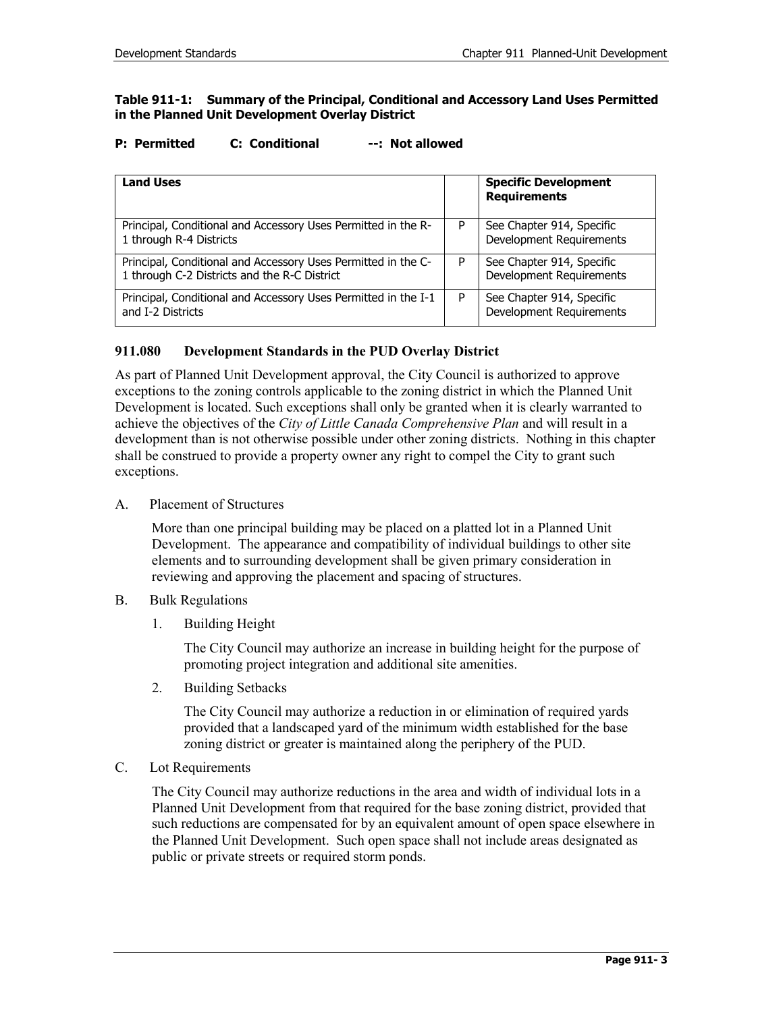#### **Table 911-1: Summary of the Principal, Conditional and Accessory Land Uses Permitted in the Planned Unit Development Overlay District**

#### **P: Permitted C: Conditional --: Not allowed**

| <b>Land Uses</b>                                                                                              |   | <b>Specific Development</b><br><b>Requirements</b>    |
|---------------------------------------------------------------------------------------------------------------|---|-------------------------------------------------------|
| Principal, Conditional and Accessory Uses Permitted in the R-<br>1 through R-4 Districts                      | P | See Chapter 914, Specific<br>Development Requirements |
| Principal, Conditional and Accessory Uses Permitted in the C-<br>1 through C-2 Districts and the R-C District | P | See Chapter 914, Specific<br>Development Requirements |
| Principal, Conditional and Accessory Uses Permitted in the I-1<br>and I-2 Districts                           |   | See Chapter 914, Specific<br>Development Requirements |

## **911.080 Development Standards in the PUD Overlay District**

As part of Planned Unit Development approval, the City Council is authorized to approve exceptions to the zoning controls applicable to the zoning district in which the Planned Unit Development is located. Such exceptions shall only be granted when it is clearly warranted to achieve the objectives of the *City of Little Canada Comprehensive Plan* and will result in a development than is not otherwise possible under other zoning districts. Nothing in this chapter shall be construed to provide a property owner any right to compel the City to grant such exceptions.

A. Placement of Structures

More than one principal building may be placed on a platted lot in a Planned Unit Development. The appearance and compatibility of individual buildings to other site elements and to surrounding development shall be given primary consideration in reviewing and approving the placement and spacing of structures.

- B. Bulk Regulations
	- 1. Building Height

The City Council may authorize an increase in building height for the purpose of promoting project integration and additional site amenities.

2. Building Setbacks

The City Council may authorize a reduction in or elimination of required yards provided that a landscaped yard of the minimum width established for the base zoning district or greater is maintained along the periphery of the PUD.

C. Lot Requirements

The City Council may authorize reductions in the area and width of individual lots in a Planned Unit Development from that required for the base zoning district, provided that such reductions are compensated for by an equivalent amount of open space elsewhere in the Planned Unit Development. Such open space shall not include areas designated as public or private streets or required storm ponds.